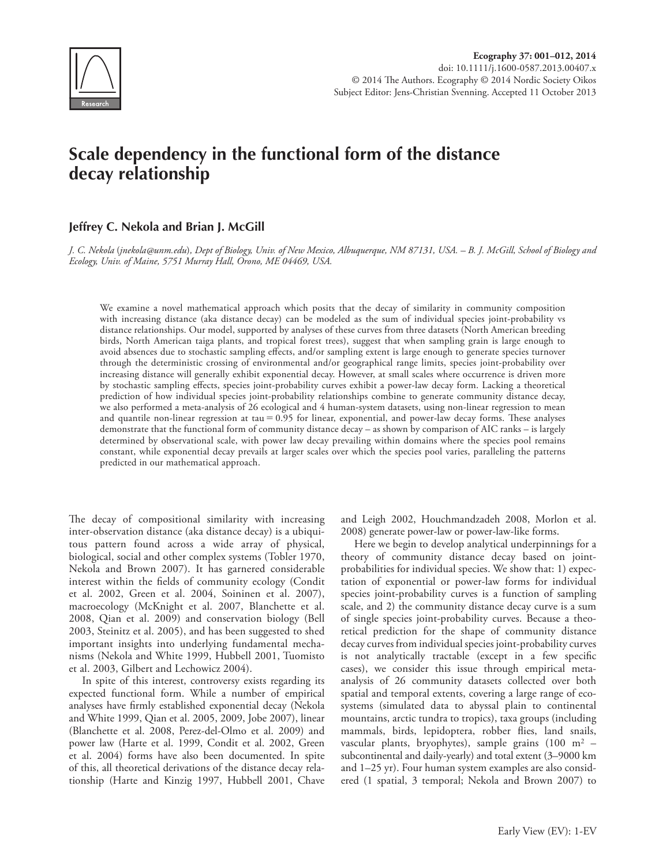

# **Scale dependency in the functional form of the distance decay relationship**

## **Jeffrey C. Nekola and Brian J. McGill**

*J. C. Nekola* (*jnekola@unm.edu*)*, Dept of Biology, Univ. of New Mexico, Albuquerque, NM 87131, USA. – B. J. McGill, School of Biology and Ecology, Univ. of Maine, 5751 Murray Hall, Orono, ME 04469, USA.*

We examine a novel mathematical approach which posits that the decay of similarity in community composition with increasing distance (aka distance decay) can be modeled as the sum of individual species joint-probability vs distance relationships. Our model, supported by analyses of these curves from three datasets (North American breeding birds, North American taiga plants, and tropical forest trees), suggest that when sampling grain is large enough to avoid absences due to stochastic sampling effects, and/or sampling extent is large enough to generate species turnover through the deterministic crossing of environmental and/or geographical range limits, species joint-probability over increasing distance will generally exhibit exponential decay. However, at small scales where occurrence is driven more by stochastic sampling effects, species joint-probability curves exhibit a power-law decay form. Lacking a theoretical prediction of how individual species joint-probability relationships combine to generate community distance decay, we also performed a meta-analysis of 26 ecological and 4 human-system datasets, using non-linear regression to mean and quantile non-linear regression at tau  $= 0.95$  for linear, exponential, and power-law decay forms. These analyses demonstrate that the functional form of community distance decay – as shown by comparison of AIC ranks – is largely determined by observational scale, with power law decay prevailing within domains where the species pool remains constant, while exponential decay prevails at larger scales over which the species pool varies, paralleling the patterns predicted in our mathematical approach.

The decay of compositional similarity with increasing inter-observation distance (aka distance decay) is a ubiquitous pattern found across a wide array of physical, biological, social and other complex systems (Tobler 1970, Nekola and Brown 2007). It has garnered considerable interest within the fields of community ecology (Condit et al. 2002, Green et al. 2004, Soininen et al. 2007), macroecology (McKnight et al. 2007, Blanchette et al. 2008, Qian et al. 2009) and conservation biology (Bell 2003, Steinitz et al. 2005), and has been suggested to shed important insights into underlying fundamental mechanisms (Nekola and White 1999, Hubbell 2001, Tuomisto et al. 2003, Gilbert and Lechowicz 2004).

In spite of this interest, controversy exists regarding its expected functional form. While a number of empirical analyses have firmly established exponential decay (Nekola and White 1999, Qian et al. 2005, 2009, Jobe 2007), linear (Blanchette et al. 2008, Perez-del-Olmo et al. 2009) and power law (Harte et al. 1999, Condit et al. 2002, Green et al. 2004) forms have also been documented. In spite of this, all theoretical derivations of the distance decay relationship (Harte and Kinzig 1997, Hubbell 2001, Chave and Leigh 2002, Houchmandzadeh 2008, Morlon et al. 2008) generate power-law or power-law-like forms.

Here we begin to develop analytical underpinnings for a theory of community distance decay based on jointprobabilities for individual species. We show that: 1) expectation of exponential or power-law forms for individual species joint-probability curves is a function of sampling scale, and 2) the community distance decay curve is a sum of single species joint-probability curves. Because a theoretical prediction for the shape of community distance decay curves from individual species joint-probability curves is not analytically tractable (except in a few specific cases), we consider this issue through empirical metaanalysis of 26 community datasets collected over both spatial and temporal extents, covering a large range of ecosystems (simulated data to abyssal plain to continental mountains, arctic tundra to tropics), taxa groups (including mammals, birds, lepidoptera, robber flies, land snails, vascular plants, bryophytes), sample grains (100 m2 – subcontinental and daily-yearly) and total extent (3–9000 km and 1–25 yr). Four human system examples are also considered (1 spatial, 3 temporal; Nekola and Brown 2007) to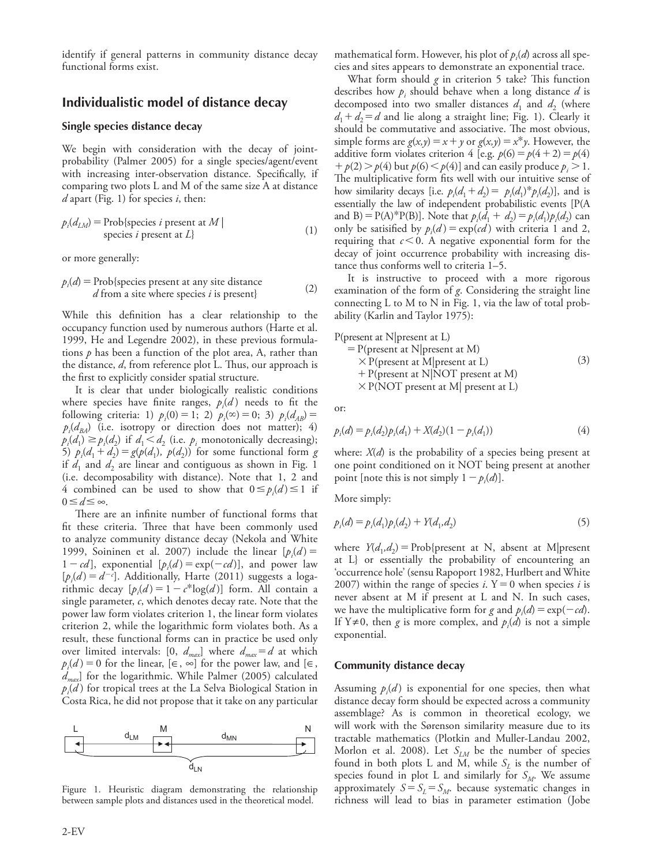identify if general patterns in community distance decay functional forms exist.

## **Individualistic model of distance decay**

#### **Single species distance decay**

We begin with consideration with the decay of jointprobability (Palmer 2005) for a single species/agent/event with increasing inter-observation distance. Specifically, if comparing two plots L and M of the same size A at distance *d* apart (Fig. 1) for species *i*, then:

$$
p_i(d_{LM}) = \text{Prob}\{\text{species } i \text{ present at } M \mid \text{species } i \text{ present at } L\}
$$
\n(1)

or more generally:

$$
p_i(d) = \text{Prob}\{\text{species present at any site distance} \}
$$
  
*d* from a site where species *i* is present} (2)

While this definition has a clear relationship to the occupancy function used by numerous authors (Harte et al. 1999, He and Legendre 2002), in these previous formulations *p* has been a function of the plot area, A, rather than the distance, *d*, from reference plot L. Thus, our approach is the first to explicitly consider spatial structure.

It is clear that under biologically realistic conditions where species have finite ranges,  $p_i(d)$  needs to fit the following criteria: 1)  $p_i(0) = 1$ ; 2)  $p_i(\infty) = 0$ ; 3)  $p_i(d_{AB}) =$  $p_i(d_{BA})$  (i.e. isotropy or direction does not matter); 4)  $p_i(d_1) \geq p_i(d_2)$  if  $d_1 < d_2$  (i.e.  $p_i$  monotonically decreasing); 5)  $p_i(d_1 + d_2) = g(p(d_1), p(d_2))$  for some functional form *g* if  $d_1$  and  $d_2$  are linear and contiguous as shown in Fig. 1 (i.e. decomposability with distance). Note that 1, 2 and 4 combined can be used to show that  $0 \leq p_i(d) \leq 1$  if  $0 \leq d \leq ∞$ .

There are an infinite number of functional forms that fit these criteria. Three that have been commonly used to analyze community distance decay (Nekola and White 1999, Soininen et al. 2007) include the linear  $[p_i(d)] =$  $1 - cd$ ], exponential  $[p_i(d) = \exp(-cd)]$ , and power law  $[p_i(d) = d^{-c}]$ . Additionally, Harte (2011) suggests a logarithmic decay  $[p_i(d) = 1 - c^*log(d)]$  form. All contain a single parameter, *c*, which denotes decay rate. Note that the power law form violates criterion 1, the linear form violates criterion 2, while the logarithmic form violates both. As a result, these functional forms can in practice be used only over limited intervals: [0,  $d_{max}$ ] where  $d_{max} = d$  at which  $p_i(d) = 0$  for the linear, [∈, ∞] for the power law, and [∈, *dmax*] for the logarithmic. While Palmer (2005) calculated *pi* (*d* ) for tropical trees at the La Selva Biological Station in Costa Rica, he did not propose that it take on any particular



Figure 1. Heuristic diagram demonstrating the relationship between sample plots and distances used in the theoretical model.

mathematical form. However, his plot of  $p_i(d)$  across all species and sites appears to demonstrate an exponential trace.

What form should *g* in criterion 5 take? This function describes how  $p_i$  should behave when a long distance  $d$  is decomposed into two smaller distances  $d_1$  and  $d_2$  (where  $d_1 + d_2 = d$  and lie along a straight line; Fig. 1). Clearly it should be commutative and associative. The most obvious, simple forms are  $g(x, y) = x + y$  or  $g(x, y) = x^*y$ . However, the additive form violates criterion 4 [e.g.  $p(6) = p(4 + 2) = p(4)$  $1 + p(2) > p(4)$  but  $p(6) < p(4)$ ] and can easily produce  $p_i > 1$ . The multiplicative form fits well with our intuitive sense of how similarity decays [i.e.  $p_i(d_1 + d_2) = p_i(d_1)^* p_i(d_2)$ ], and is essentially the law of independent probabilistic events [P(A and B) = P(A)\*P(B)]. Note that  $p_i(\vec{d}_1 + \vec{d}_2) = p_i(d_1)p_i(d_2)$  can only be satisified by  $p_i(d) = \exp(cd)$  with criteria 1 and 2, requiring that  $c < 0$ . A negative exponential form for the decay of joint occurrence probability with increasing distance thus conforms well to criteria 1–5.

It is instructive to proceed with a more rigorous examination of the form of *g*. Considering the straight line connecting L to M to N in Fig. 1, via the law of total probability (Karlin and Taylor 1975):

P(present at N|present at L)

= P(present at N|present at M)  
\n
$$
\times
$$
 P(present at M|present at L)  
\n+ P(present at N|NOT present at M)  
\n $\times$  P(NOT present at M| present at L)

or:

$$
p_i(d) = p_i(d_2)p_i(d_1) + X(d_2)(1 - p_i(d_1))
$$
\n(4)

where: *X*(*d*) is the probability of a species being present at one point conditioned on it NOT being present at another point [note this is not simply  $1 - p_i(d)$ ].

More simply:

$$
p_i(d) = p_i(d_1)p_i(d_2) + Y(d_1, d_2)
$$
\n(5)

where  $Y(d_1, d_2)$  = Prob{present at N, absent at M|present at L} or essentially the probability of encountering an 'occurrence hole' (sensu Rapoport 1982, Hurlbert and White 2007) within the range of species *i*.  $Y = 0$  when species *i* is never absent at M if present at L and N. In such cases, we have the multiplicative form for *g* and  $p_i(d) = \exp(-cd)$ . If Y≠0, then *g* is more complex, and  $p_i(d)$  is not a simple exponential.

#### **Community distance decay**

Assuming  $p_i(d)$  is exponential for one species, then what distance decay form should be expected across a community assemblage? As is common in theoretical ecology, we will work with the Sørenson similarity measure due to its tractable mathematics (Plotkin and Muller-Landau 2002, Morlon et al. 2008). Let  $S_{LM}$  be the number of species found in both plots L and M, while  $S_L$  is the number of species found in plot L and similarly for  $S_M$ . We assume approximately  $S = S_L = S_M$ . because systematic changes in richness will lead to bias in parameter estimation (Jobe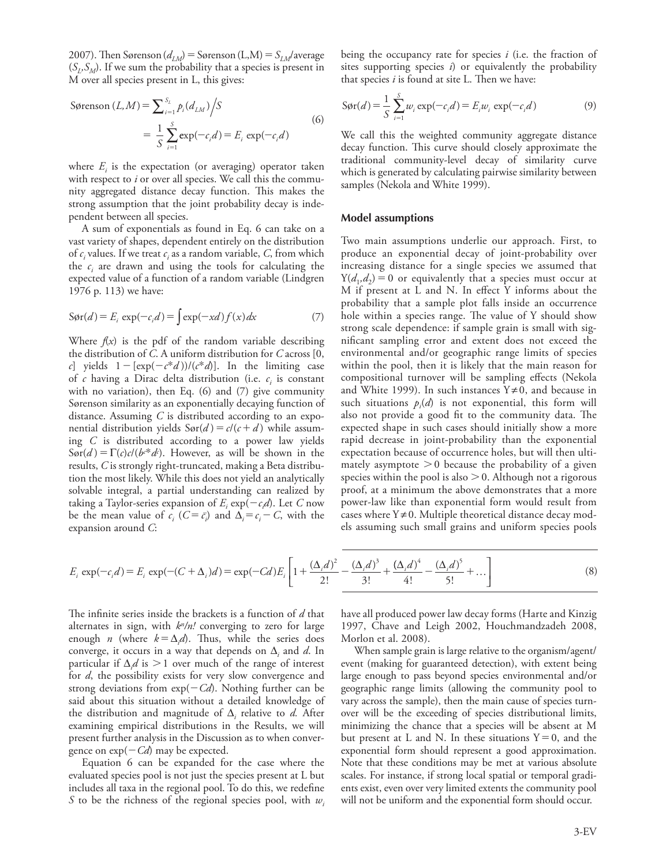2007). Then Sørenson ( $d_{LM}$ ) = Sørenson (L,M) =  $S_{LM}$ /average  $(S_t, S_M)$ . If we sum the probability that a species is present in M over all species present in L, this gives:

Sørenson 
$$
(L, M) = \sum_{i=1}^{S_L} p_i (d_{LM}) / S
$$
  
=  $\frac{1}{S} \sum_{i=1}^{S} \exp(-c_i d) = E_i \exp(-c_i d)$  (6)

where  $E_i$  is the expectation (or averaging) operator taken with respect to *i* or over all species. We call this the community aggregated distance decay function. This makes the strong assumption that the joint probability decay is independent between all species.

A sum of exponentials as found in Eq. 6 can take on a vast variety of shapes, dependent entirely on the distribution of  $c_i$  values. If we treat  $c_i$  as a random variable,  $C$ , from which the  $c_i$  are drawn and using the tools for calculating the expected value of a function of a random variable (Lindgren 1976 p. 113) we have:

$$
S\varphi r(d) = E_i \exp(-c_i d) = \int \exp(-xd) f(x) dx \tag{7}
$$

Where  $f(x)$  is the pdf of the random variable describing the distribution of *C*. A uniform distribution for *C* across [0, *c*] yields  $1 - [\exp(-c^*d))/(c^*d)]$ . In the limiting case of *c* having a Dirac delta distribution (i.e. *ci* is constant with no variation), then Eq. (6) and (7) give community Sørenson similarity as an exponentially decaying function of distance. Assuming *C* is distributed according to an exponential distribution yields  $Sor(d) = c/(c+d)$  while assuming *C* is distributed according to a power law yields  $Sor(d) = \Gamma(c)c/(b^{c*}d)$ . However, as will be shown in the results, *C* is strongly right-truncated, making a Beta distribution the most likely. While this does not yield an analytically solvable integral, a partial understanding can realized by taking a Taylor-series expansion of  $E_i \exp(-c_i d)$ . Let *C* now be the mean value of  $c_i$  ( $C = \overline{c_i}$ ) and  $\Delta_i = c_i - C$ , with the expansion around *C*:

being the occupancy rate for species *i* (i.e. the fraction of sites supporting species *i*) or equivalently the probability that species *i* is found at site L. Then we have:

$$
S\varphi_{\mathbf{r}}(d) = \frac{1}{S} \sum_{i=1}^{S} w_i \exp(-c_i d) = E_i w_i \exp(-c_i d)
$$
 (9)

We call this the weighted community aggregate distance decay function. This curve should closely approximate the traditional community-level decay of similarity curve which is generated by calculating pairwise similarity between samples (Nekola and White 1999).

#### **Model assumptions**

Two main assumptions underlie our approach. First, to produce an exponential decay of joint-probability over increasing distance for a single species we assumed that  $Y(d_1, d_2) = 0$  or equivalently that a species must occur at M if present at L and N. In effect Y informs about the probability that a sample plot falls inside an occurrence hole within a species range. The value of Y should show strong scale dependence: if sample grain is small with significant sampling error and extent does not exceed the environmental and/or geographic range limits of species within the pool, then it is likely that the main reason for compositional turnover will be sampling effects (Nekola and White 1999). In such instances  $Y \neq 0$ , and because in such situations  $p_i(d)$  is not exponential, this form will also not provide a good fit to the community data. The expected shape in such cases should initially show a more rapid decrease in joint-probability than the exponential expectation because of occurrence holes, but will then ultimately asymptote  $>0$  because the probability of a given species within the pool is also  $> 0$ . Although not a rigorous proof, at a minimum the above demonstrates that a more power-law like than exponential form would result from cases where  $Y \neq 0$ . Multiple theoretical distance decay models assuming such small grains and uniform species pools

$$
E_i \exp(-c_i d) = E_i \exp(-(C + \Delta_i)d) = \exp(-Cd)E_i \left[ 1 + \frac{(\Delta_i d)^2}{2!} - \frac{(\Delta_i d)^3}{3!} + \frac{(\Delta_i d)^4}{4!} - \frac{(\Delta_i d)^5}{5!} + \dots \right]
$$
(8)

The infinite series inside the brackets is a function of *d* that alternates in sign, with  $k<sup>n</sup>/n!$  converging to zero for large enough *n* (where  $k = \Delta_i d$ ). Thus, while the series does converge, it occurs in a way that depends on  $\Delta_i$  and *d*. In particular if  $\Delta_i d$  is  $> 1$  over much of the range of interest for *d*, the possibility exists for very slow convergence and strong deviations from  $exp(-Cd)$ . Nothing further can be said about this situation without a detailed knowledge of the distribution and magnitude of  $\Delta$ <sub>*i*</sub> relative to *d*. After examining empirical distributions in the Results, we will present further analysis in the Discussion as to when convergence on  $exp(-Cd)$  may be expected.

Equation 6 can be expanded for the case where the evaluated species pool is not just the species present at L but includes all taxa in the regional pool. To do this, we redefine *S* to be the richness of the regional species pool, with  $w_i$  have all produced power law decay forms (Harte and Kinzig 1997, Chave and Leigh 2002, Houchmandzadeh 2008, Morlon et al. 2008).

When sample grain is large relative to the organism/agent/ event (making for guaranteed detection), with extent being large enough to pass beyond species environmental and/or geographic range limits (allowing the community pool to vary across the sample), then the main cause of species turnover will be the exceeding of species distributional limits, minimizing the chance that a species will be absent at M but present at L and N. In these situations  $Y=0$ , and the exponential form should represent a good approximation. Note that these conditions may be met at various absolute scales. For instance, if strong local spatial or temporal gradients exist, even over very limited extents the community pool will not be uniform and the exponential form should occur.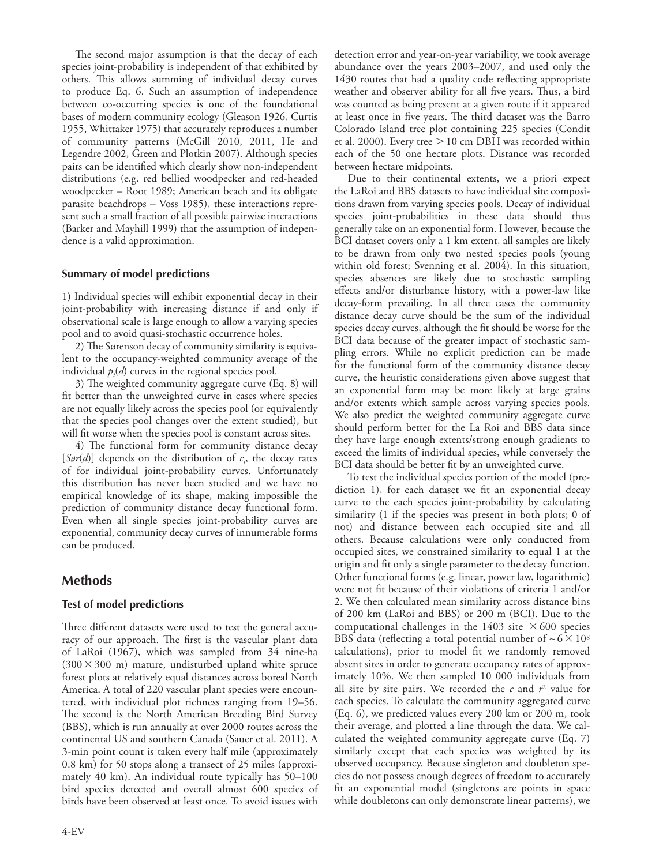The second major assumption is that the decay of each species joint-probability is independent of that exhibited by others. This allows summing of individual decay curves to produce Eq. 6. Such an assumption of independence between co-occurring species is one of the foundational bases of modern community ecology (Gleason 1926, Curtis 1955, Whittaker 1975) that accurately reproduces a number of community patterns (McGill 2010, 2011, He and Legendre 2002, Green and Plotkin 2007). Although species pairs can be identified which clearly show non-independent distributions (e.g. red bellied woodpecker and red-headed woodpecker – Root 1989; American beach and its obligate parasite beachdrops – Voss 1985), these interactions represent such a small fraction of all possible pairwise interactions (Barker and Mayhill 1999) that the assumption of independence is a valid approximation.

## **Summary of model predictions**

1) Individual species will exhibit exponential decay in their joint-probability with increasing distance if and only if observational scale is large enough to allow a varying species pool and to avoid quasi-stochastic occurrence holes.

2) The Sørenson decay of community similarity is equivalent to the occupancy-weighted community average of the individual  $p_i(d)$  curves in the regional species pool.

3) The weighted community aggregate curve (Eq. 8) will fit better than the unweighted curve in cases where species are not equally likely across the species pool (or equivalently that the species pool changes over the extent studied), but will fit worse when the species pool is constant across sites.

4) The functional form for community distance decay [ $\text{Sør}(d)$ ] depends on the distribution of  $c_i$ , the decay rates of for individual joint-probability curves. Unfortunately this distribution has never been studied and we have no empirical knowledge of its shape, making impossible the prediction of community distance decay functional form. Even when all single species joint-probability curves are exponential, community decay curves of innumerable forms can be produced.

## **Methods**

#### **Test of model predictions**

Three different datasets were used to test the general accuracy of our approach. The first is the vascular plant data of LaRoi (1967), which was sampled from 34 nine-ha  $(300 \times 300 \text{ m})$  mature, undisturbed upland white spruce forest plots at relatively equal distances across boreal North America. A total of 220 vascular plant species were encountered, with individual plot richness ranging from 19–56. The second is the North American Breeding Bird Survey (BBS), which is run annually at over 2000 routes across the continental US and southern Canada (Sauer et al. 2011). A 3-min point count is taken every half mile (approximately 0.8 km) for 50 stops along a transect of 25 miles (approximately 40 km). An individual route typically has 50–100 bird species detected and overall almost 600 species of birds have been observed at least once. To avoid issues with

4-EV

detection error and year-on-year variability, we took average abundance over the years 2003–2007, and used only the 1430 routes that had a quality code reflecting appropriate weather and observer ability for all five years. Thus, a bird was counted as being present at a given route if it appeared at least once in five years. The third dataset was the Barro Colorado Island tree plot containing 225 species (Condit et al. 2000). Every tree  $> 10$  cm DBH was recorded within each of the 50 one hectare plots. Distance was recorded between hectare midpoints.

Due to their continental extents, we a priori expect the LaRoi and BBS datasets to have individual site compositions drawn from varying species pools. Decay of individual species joint-probabilities in these data should thus generally take on an exponential form. However, because the BCI dataset covers only a 1 km extent, all samples are likely to be drawn from only two nested species pools (young within old forest; Svenning et al. 2004). In this situation, species absences are likely due to stochastic sampling effects and/or disturbance history, with a power-law like decay-form prevailing. In all three cases the community distance decay curve should be the sum of the individual species decay curves, although the fit should be worse for the BCI data because of the greater impact of stochastic sampling errors. While no explicit prediction can be made for the functional form of the community distance decay curve, the heuristic considerations given above suggest that an exponential form may be more likely at large grains and/or extents which sample across varying species pools. We also predict the weighted community aggregate curve should perform better for the La Roi and BBS data since they have large enough extents/strong enough gradients to exceed the limits of individual species, while conversely the BCI data should be better fit by an unweighted curve.

To test the individual species portion of the model (prediction 1), for each dataset we fit an exponential decay curve to the each species joint-probability by calculating similarity (1 if the species was present in both plots; 0 of not) and distance between each occupied site and all others. Because calculations were only conducted from occupied sites, we constrained similarity to equal 1 at the origin and fit only a single parameter to the decay function. Other functional forms (e.g. linear, power law, logarithmic) were not fit because of their violations of criteria 1 and/or 2. We then calculated mean similarity across distance bins of 200 km (LaRoi and BBS) or 200 m (BCI). Due to the computational challenges in the 1403 site  $\times$  600 species BBS data (reflecting a total potential number of  $\sim 6 \times 10^8$ calculations), prior to model fit we randomly removed absent sites in order to generate occupancy rates of approximately 10%. We then sampled 10 000 individuals from all site by site pairs. We recorded the  $c$  and  $r^2$  value for each species. To calculate the community aggregated curve (Eq. 6), we predicted values every 200 km or 200 m, took their average, and plotted a line through the data. We calculated the weighted community aggregate curve (Eq. 7) similarly except that each species was weighted by its observed occupancy. Because singleton and doubleton species do not possess enough degrees of freedom to accurately fit an exponential model (singletons are points in space while doubletons can only demonstrate linear patterns), we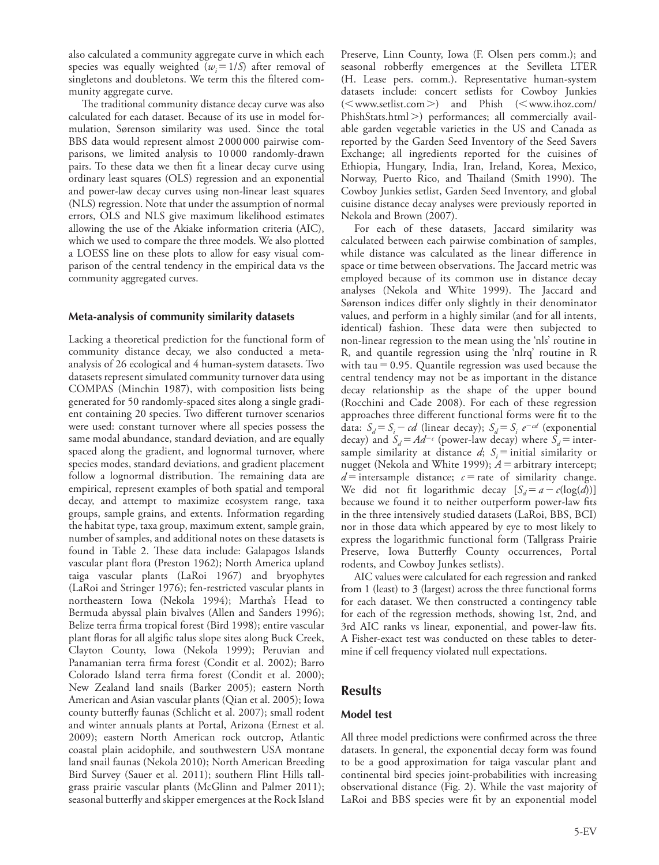also calculated a community aggregate curve in which each species was equally weighted  $(w_i=1/S)$  after removal of singletons and doubletons. We term this the filtered community aggregate curve.

The traditional community distance decay curve was also calculated for each dataset. Because of its use in model formulation, Sørenson similarity was used. Since the total BBS data would represent almost 2 000000 pairwise comparisons, we limited analysis to 10 000 randomly-drawn pairs. To these data we then fit a linear decay curve using ordinary least squares (OLS) regression and an exponential and power-law decay curves using non-linear least squares (NLS) regression. Note that under the assumption of normal errors, OLS and NLS give maximum likelihood estimates allowing the use of the Akiake information criteria (AIC), which we used to compare the three models. We also plotted a LOESS line on these plots to allow for easy visual comparison of the central tendency in the empirical data vs the community aggregated curves.

#### **Meta-analysis of community similarity datasets**

Lacking a theoretical prediction for the functional form of community distance decay, we also conducted a metaanalysis of 26 ecological and 4 human-system datasets. Two datasets represent simulated community turnover data using COMPAS (Minchin 1987), with composition lists being generated for 50 randomly-spaced sites along a single gradient containing 20 species. Two different turnover scenarios were used: constant turnover where all species possess the same modal abundance, standard deviation, and are equally spaced along the gradient, and lognormal turnover, where species modes, standard deviations, and gradient placement follow a lognormal distribution. The remaining data are empirical, represent examples of both spatial and temporal decay, and attempt to maximize ecosystem range, taxa groups, sample grains, and extents. Information regarding the habitat type, taxa group, maximum extent, sample grain, number of samples, and additional notes on these datasets is found in Table 2. These data include: Galapagos Islands vascular plant flora (Preston 1962); North America upland taiga vascular plants (LaRoi 1967) and bryophytes (LaRoi and Stringer 1976); fen-restricted vascular plants in northeastern Iowa (Nekola 1994); Martha's Head to Bermuda abyssal plain bivalves (Allen and Sanders 1996); Belize terra firma tropical forest (Bird 1998); entire vascular plant floras for all algific talus slope sites along Buck Creek, Clayton County, Iowa (Nekola 1999); Peruvian and Panamanian terra firma forest (Condit et al. 2002); Barro Colorado Island terra firma forest (Condit et al. 2000); New Zealand land snails (Barker 2005); eastern North American and Asian vascular plants (Qian et al. 2005); Iowa county butterfly faunas (Schlicht et al. 2007); small rodent and winter annuals plants at Portal, Arizona (Ernest et al. 2009); eastern North American rock outcrop, Atlantic coastal plain acidophile, and southwestern USA montane land snail faunas (Nekola 2010); North American Breeding Bird Survey (Sauer et al. 2011); southern Flint Hills tallgrass prairie vascular plants (McGlinn and Palmer 2011); seasonal butterfly and skipper emergences at the Rock Island

Preserve, Linn County, Iowa (F. Olsen pers comm.); and seasonal robberfly emergences at the Sevilleta LTER (H. Lease pers. comm.). Representative human-system datasets include: concert setlists for Cowboy Junkies (<www.setlist.com>) and Phish (<www.ihoz.com/ PhishStats.html>) performances; all commercially available garden vegetable varieties in the US and Canada as reported by the Garden Seed Inventory of the Seed Savers Exchange; all ingredients reported for the cuisines of Ethiopia, Hungary, India, Iran, Ireland, Korea, Mexico, Norway, Puerto Rico, and Thailand (Smith 1990). The Cowboy Junkies setlist, Garden Seed Inventory, and global cuisine distance decay analyses were previously reported in Nekola and Brown (2007).

For each of these datasets, Jaccard similarity was calculated between each pairwise combination of samples, while distance was calculated as the linear difference in space or time between observations. The Jaccard metric was employed because of its common use in distance decay analyses (Nekola and White 1999). The Jaccard and Sørenson indices differ only slightly in their denominator values, and perform in a highly similar (and for all intents, identical) fashion. These data were then subjected to non-linear regression to the mean using the 'nls' routine in R, and quantile regression using the 'nlrq' routine in R with  $tau = 0.95$ . Quantile regression was used because the central tendency may not be as important in the distance decay relationship as the shape of the upper bound (Rocchini and Cade 2008). For each of these regression approaches three different functional forms were fit to the data:  $S_d = S_i - cd$  (linear decay);  $S_d = S_i e^{-cd}$  (exponential decay) and  $S_d = Ad^{-c}$  (power-law decay) where  $S_d$  = intersample similarity at distance  $d$ ;  $S_i$  = initial similarity or nugget (Nekola and White 1999);  $A =$  arbitrary intercept;  $d$  = intersample distance;  $c$  = rate of similarity change. We did not fit logarithmic decay  $[S_d = a - c(\log(d))]$ because we found it to neither outperform power-law fits in the three intensively studied datasets (LaRoi, BBS, BCI) nor in those data which appeared by eye to most likely to express the logarithmic functional form (Tallgrass Prairie Preserve, Iowa Butterfly County occurrences, Portal rodents, and Cowboy Junkes setlists).

AIC values were calculated for each regression and ranked from 1 (least) to 3 (largest) across the three functional forms for each dataset. We then constructed a contingency table for each of the regression methods, showing 1st, 2nd, and 3rd AIC ranks vs linear, exponential, and power-law fits. A Fisher-exact test was conducted on these tables to determine if cell frequency violated null expectations.

## **Results**

#### **Model test**

All three model predictions were confirmed across the three datasets. In general, the exponential decay form was found to be a good approximation for taiga vascular plant and continental bird species joint-probabilities with increasing observational distance (Fig. 2). While the vast majority of LaRoi and BBS species were fit by an exponential model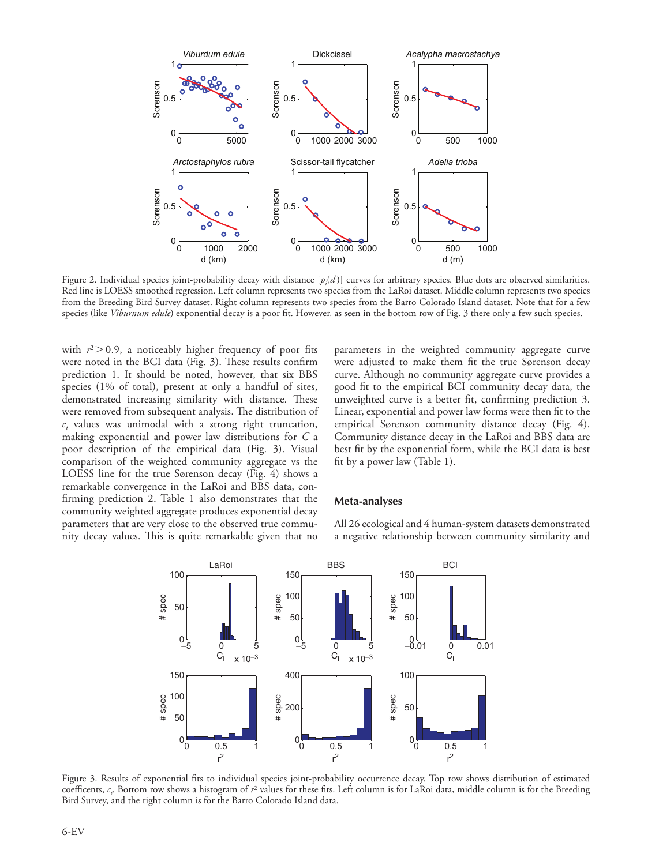

Figure 2. Individual species joint-probability decay with distance [*pi* (*d* )] curves for arbitrary species. Blue dots are observed similarities. Red line is LOESS smoothed regression. Left column represents two species from the LaRoi dataset. Middle column represents two species from the Breeding Bird Survey dataset. Right column represents two species from the Barro Colorado Island dataset. Note that for a few species (like *Viburnum edule*) exponential decay is a poor fit. However, as seen in the bottom row of Fig. 3 there only a few such species.

with  $r^2 > 0.9$ , a noticeably higher frequency of poor fits were noted in the BCI data (Fig. 3). These results confirm prediction 1. It should be noted, however, that six BBS species (1% of total), present at only a handful of sites, demonstrated increasing similarity with distance. These were removed from subsequent analysis. The distribution of  $c_i$  values was unimodal with a strong right truncation, making exponential and power law distributions for *C* a poor description of the empirical data (Fig. 3). Visual comparison of the weighted community aggregate vs the LOESS line for the true Sørenson decay (Fig. 4) shows a remarkable convergence in the LaRoi and BBS data, confirming prediction 2. Table 1 also demonstrates that the community weighted aggregate produces exponential decay parameters that are very close to the observed true community decay values. This is quite remarkable given that no

parameters in the weighted community aggregate curve were adjusted to make them fit the true Sørenson decay curve. Although no community aggregate curve provides a good fit to the empirical BCI community decay data, the unweighted curve is a better fit, confirming prediction 3. Linear, exponential and power law forms were then fit to the empirical Sørenson community distance decay (Fig. 4). Community distance decay in the LaRoi and BBS data are best fit by the exponential form, while the BCI data is best fit by a power law (Table 1).

#### **Meta-analyses**

All 26 ecological and 4 human-system datasets demonstrated a negative relationship between community similarity and



Figure 3. Results of exponential fits to individual species joint-probability occurrence decay. Top row shows distribution of estimated coefficents, *ci* . Bottom row shows a histogram of *r*2 values for these fits. Left column is for LaRoi data, middle column is for the Breeding Bird Survey, and the right column is for the Barro Colorado Island data.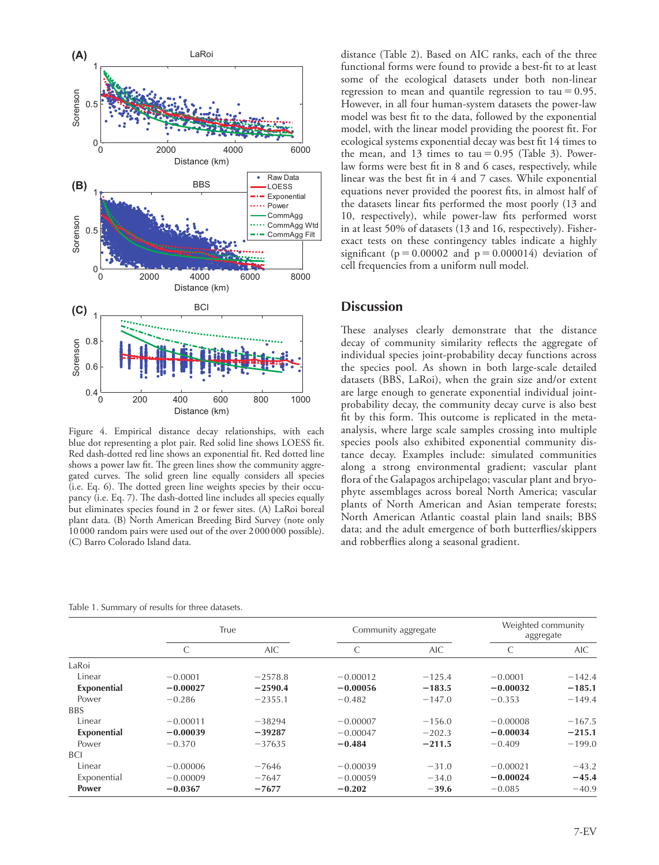

Figure 4. Empirical distance decay relationships, with each blue dot representing a plot pair. Red solid line shows LOESS fit. Red dash-dotted red line shows an exponential fit. Red dotted line shows a power law fit. The green lines show the community aggregated curves. The solid green line equally considers all species (i.e. Eq. 6). The dotted green line weights species by their occupancy (i.e. Eq. 7). The dash-dotted line includes all species equally but eliminates species found in 2 or fewer sites. (A) LaRoi boreal plant data. (B) North American Breeding Bird Survey (note only 10 000 random pairs were used out of the over 2 000000 possible). (C) Barro Colorado Island data.

Table 1. Summary of results for three datasets.

distance (Table 2). Based on AIC ranks, each of the three functional forms were found to provide a best-fit to at least some of the ecological datasets under both non-linear regression to mean and quantile regression to tau =  $0.95$ . However, in all four human-system datasets the power-law model was best fit to the data, followed by the exponential model, with the linear model providing the poorest fit. For ecological systems exponential decay was best fit 14 times to the mean, and 13 times to tau =  $0.95$  (Table 3). Powerlaw forms were best fit in 8 and 6 cases, respectively, while linear was the best fit in 4 and 7 cases. While exponential equations never provided the poorest fits, in almost half of the datasets linear fits performed the most poorly (13 and 10, respectively), while power-law fits performed worst in at least 50% of datasets (13 and 16, respectively). Fisherexact tests on these contingency tables indicate a highly significant ( $p=0.00002$  and  $p=0.000014$ ) deviation of cell frequencies from a uniform null model.

# **Discussion**

These analyses clearly demonstrate that the distance decay of community similarity reflects the aggregate of individual species joint-probability decay functions across the species pool. As shown in both large-scale detailed datasets (BBS, LaRoi), when the grain size and/or extent are large enough to generate exponential individual jointprobability decay, the community decay curve is also best fit by this form. This outcome is replicated in the metaanalysis, where large scale samples crossing into multiple species pools also exhibited exponential community distance decay. Examples include: simulated communities along a strong environmental gradient; vascular plant flora of the Galapagos archipelago; vascular plant and bryophyte assemblages across boreal North America; vascular plants of North American and Asian temperate forests; North American Atlantic coastal plain land snails; BBS data; and the adult emergence of both butterflies/skippers and robberflies along a seasonal gradient.

|             | True       |           |            | Community aggregate |            | Weighted community<br>aggregate |  |
|-------------|------------|-----------|------------|---------------------|------------|---------------------------------|--|
|             |            | AIC       |            | AIC.                | C          | AIC.                            |  |
| LaRoi       |            |           |            |                     |            |                                 |  |
| Linear      | $-0.0001$  | $-2578.8$ | $-0.00012$ | $-125.4$            | $-0.0001$  | $-142.4$                        |  |
| Exponential | $-0.00027$ | $-2590.4$ | $-0.00056$ | $-183.5$            | $-0.00032$ | $-185.1$                        |  |
| Power       | $-0.286$   | $-2355.1$ | $-0.482$   | $-147.0$            | $-0.353$   | $-149.4$                        |  |
| <b>BBS</b>  |            |           |            |                     |            |                                 |  |
| Linear      | $-0.00011$ | $-38294$  | $-0.00007$ | $-156.0$            | $-0.00008$ | $-167.5$                        |  |
| Exponential | $-0.00039$ | $-39287$  | $-0.00047$ | $-202.3$            | $-0.00034$ | $-215.1$                        |  |
| Power       | $-0.370$   | $-37635$  | $-0.484$   | $-211.5$            | $-0.409$   | $-199.0$                        |  |
| <b>BCI</b>  |            |           |            |                     |            |                                 |  |
| Linear      | $-0.00006$ | $-7646$   | $-0.00039$ | $-31.0$             | $-0.00021$ | $-43.2$                         |  |
| Exponential | $-0.00009$ | $-7647$   | $-0.00059$ | $-34.0$             | $-0.00024$ | $-45.4$                         |  |
| Power       | $-0.0367$  | $-7677$   | $-0.202$   | $-39.6$             | $-0.085$   | $-40.9$                         |  |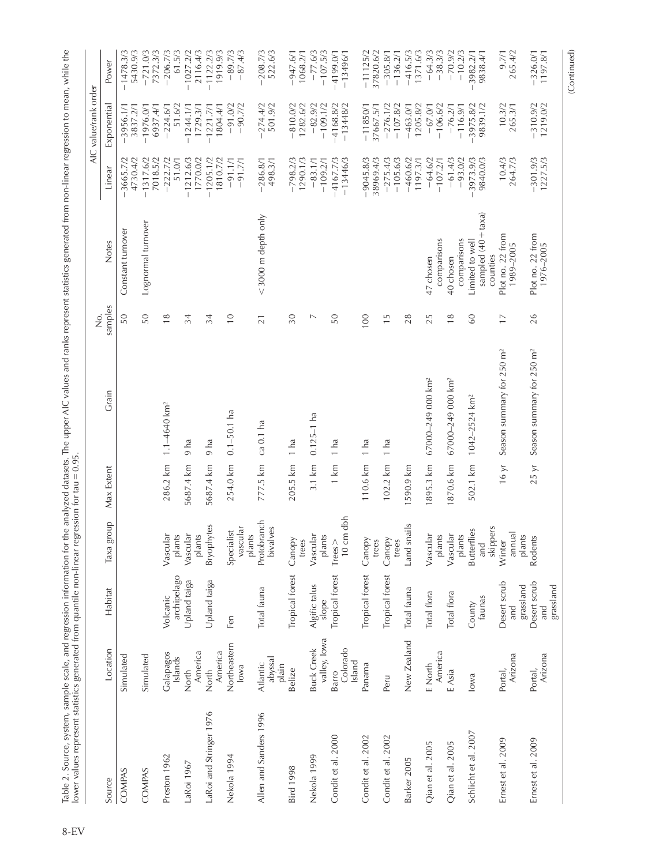|                         |                                   |                                  |                                       |                    |                                       | ż                |                                                    |                           | AIC value/rank order      |                           |
|-------------------------|-----------------------------------|----------------------------------|---------------------------------------|--------------------|---------------------------------------|------------------|----------------------------------------------------|---------------------------|---------------------------|---------------------------|
| Source                  | Location                          | Habitat                          | dno.la<br>Taxa                        | Max Extent         | Grain                                 | samples          | <b>Notes</b>                                       | Linear                    | Exponential               | Power                     |
| COMPAS                  | Simulated                         |                                  |                                       |                    |                                       | 50               | Constant turnover                                  | $-3665.7/2$<br>4730.4/2   | 3837.2/1<br>$-3956.1/1$   | $-1478.3/3$<br>5430.9/3   |
| COMPAS                  | Simulated                         |                                  |                                       |                    |                                       | 50               | Lognormal turnover                                 | $-1317.6/2$<br>7018.5/2   | $-1976.0/1$<br>6937.4/1   | $-721.0/3$<br>7372.3/3    |
| Preston 1962            | Galapagos<br>Islands              | archipelago<br>Volcanic          | Vascular<br>plants                    | 286.2 km           | $1.1 - 4640$ km <sup>2</sup>          | $\frac{8}{1}$    |                                                    | $-222.7/2$<br>51.0/1      | 51.6/2<br>$-224.6/1$      | $-206.7/3$<br>61.5/3      |
| -aRoi 1967              | America<br>North                  | Upland taiga                     | Vascular<br>plants                    | 5687.4 km          | 9 ha                                  | 34               |                                                    | $-1212.6/3$<br>1770.0/2   | $-1244.1/1$<br>1729.3/1   | $-1027.2/2$<br>2116.4/3   |
| -aRoi and Stringer 1976 | America<br>North                  | Upland taiga                     | <b>Bryophytes</b>                     | 5687.4 km          | $9$ ha                                | 34               |                                                    | $-1205.1/2$<br>1810.7/2   | $-1221.7/1$<br>1804.4/1   | 1919.9/3<br>$-1122.2/3$   |
| Nekola 1994             | Northeastern<br>lowa              | Fen                              | vascular<br>Specialist<br>plants      | 254.0 km           | $0.1 - 50.1$ ha                       | $\overline{10}$  |                                                    | $-91.1/1$<br>$-91.7/1$    | $-91.0/2$<br>$-90.7/2$    | $-89.7/3$<br>$-87.4/3$    |
| Allen and Sanders 1996  | abyssal<br>Atlantic<br>plain      | Total fauna                      | Protobranch<br>bivalves               | 777.5 km ca 0.1 ha |                                       | $\overline{21}$  | $<$ 3000 m depth only                              | $-286.8/1$<br>498.3/1     | $-274.4/2$<br>501.9/2     | $-208.7/3$<br>522.6/3     |
| <b>Bird 1998</b>        | Belize                            | Tropical forest                  | Canopy<br>trees                       | 205.5 km           | 1 ha                                  | 30               |                                                    | $-798.2/3$<br>1290.1/3    | $-810.0/2$<br>1282.6/2    | $-947.6/1$<br>1068.2/1    |
| Nekola 1999             | valley, Iowa<br><b>Buck Creek</b> | Algific talus<br>slope           | Vascular<br>plants                    | $3.1 \text{ km}$   | $0.125 - 1$ ha                        | $\triangleright$ |                                                    | $-83.1/1$<br>$-109.2/1$   | $-82.9/2$<br>$-109.1/2$   | $-77.6/3$<br>$-107.5/3$   |
| Condit et al. 2000      | Colorado<br>Island<br>Barro       | Tropical forest                  | 10 cm dbh<br>$Trees$ >                | 1 km               | 1 ha                                  | 50               |                                                    | $-13446/3$<br>$-4167.7/3$ | $-4168.8/2$<br>$-13448/2$ | $-4199.0/1$<br>$-13496/1$ |
| Condit et al. 2002      | Panama                            | Tropical forest                  | Canopy<br>trees                       | 110.6 km           | 1 ha                                  | 100              |                                                    | $-9045.8/3$<br>38969.4/3  | $-11850/1$<br>37667.5/1   | $-11125/2$<br>37820.6/2   |
| Condit et al. 2002      | Peru                              | Tropical forest                  | Canopy<br>trees                       | $102.2$ km         | 1 ha                                  | $\frac{5}{1}$    |                                                    | $-275.4/3$<br>$-105.6/3$  | $-276.1/2$<br>$-107.8/2$  | $-136.2/1$<br>$-305.8/1$  |
| Barker 2005             | New Zealand                       | Total fauna                      | Land snails                           | 1590.9 km          |                                       | 28               |                                                    | $-460.6/2$<br>1197.3/1    | 1205.8/2<br>$-463.0/1$    | $-416.5/3$<br>1371.6/3    |
| Qian et al. 2005        | America<br>E North                | Total flora                      | Vascular<br>plants                    | 1895.3 km          | 67000-249 000 km <sup>2</sup>         | 25               | comparisons<br>47 chosen                           | $-64.6/2$<br>$-107.2/1$   | $-106.6/2$<br>$-67.0/1$   | $-64.3/3$<br>$-38.3/3$    |
| Qian et al. 2005        | E Asia                            | Total flora                      | Vascular<br>plants                    | 1870.6 km          | 67000-249 000 km <sup>2</sup>         | $\frac{8}{1}$    | comparisons<br>40 chosen                           | $-61.4/3$<br>$-93.0/2$    | $-76.2/1$<br>$-116.9/1$   | $-70.9/2$<br>$-10.2/3$    |
| Schlicht et al. 2007    | lowa                              | taunas<br>County                 | skippers<br><b>Butterflies</b><br>and | 502.1 km           | 1042-2524 km <sup>2</sup>             | 60               | sampled (40 + taxa)<br>Limited to well<br>counties | 3973.9/3<br>9840.0/3      | 3975.8/2<br>9839.1/2      | 3982.2/1<br>9838.4/1      |
| Ernest et al. 2009      | Arizona<br>Portal,                | Desert scrub<br>grassland<br>and | annual<br>plants<br>Winter            | 16 yr              | Season summary for 250 m <sup>2</sup> | $\overline{1}$   | Plot no. 22 from<br>1989-2005                      | 10.4/3<br>264.7/3         | 10.3/2<br>265.3/1         | 265.4/2<br>9.7/1          |
| Ernest et al. 2009      | Arizona<br>Portal,                | Desert scrub<br>grassland<br>and | Rodents                               | 25 yr              | Season summary for 250 m <sup>2</sup> | 26               | Plot no. 22 from<br>1976-2005                      | $-301.9/3$<br>$1227.5/3$  | $-310.9/2$<br>1219.0/2    | $-326.0/1$<br>1197.8/1    |
|                         |                                   |                                  |                                       |                    |                                       |                  |                                                    |                           |                           | (Continued)               |

Table 2. Source, system, sample scale, and regression information for the analyzed datasets. The upper AIC values and ranks represent statistics generated from non-linear regression to mean, while the φ Table 2. Source, system, sample scale, and regression information for the analyzed datasets. The upper AIC values and ranks represent statistics generated from non-linear regression to mean, while the<br>⊂represent statis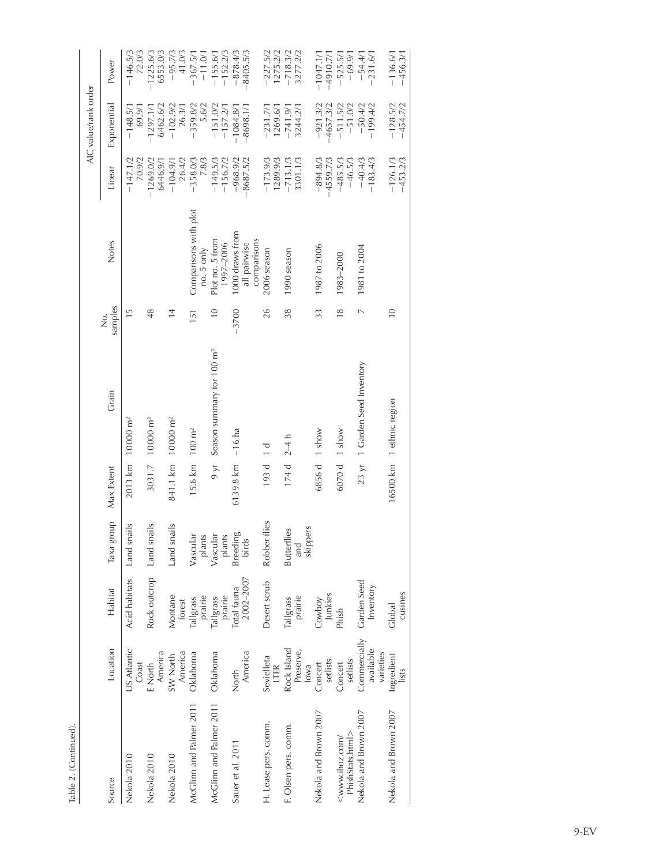| Table 2. (Continued)                     |                                        |                          |                                       |                        |                                        |                   |                                                |                           |                            |                            |
|------------------------------------------|----------------------------------------|--------------------------|---------------------------------------|------------------------|----------------------------------------|-------------------|------------------------------------------------|---------------------------|----------------------------|----------------------------|
|                                          |                                        |                          |                                       |                        |                                        |                   |                                                |                           | AIC value/rank order       |                            |
| Source                                   | Location                               | Habitat                  | dno.la<br>Таха                        | Max Extent             | Grain                                  | samples<br>.<br>2 | Notes                                          | Linear                    | Exponential                | Power                      |
| Nekola 2010                              | US Atlantic<br>Coast                   | <b>Acid habitats</b>     | snails<br>Land                        |                        | $2013 \text{ km}$ 10000 m <sup>2</sup> | $\frac{5}{1}$     |                                                | 70.9/2<br>$-147.1/2$      | 69.9/1<br>$-148.5/1$       | $-146.5/3$<br>72.0/3       |
| Nekola 2010                              | America<br>E North                     | Rock outcrop Land        | snails                                |                        | 3031.7 10000 m <sup>2</sup>            | 48                |                                                | $-1269.0/2$<br>6446.9/1   | 6462.6/2<br>$-1297.1/1$    | $-1225.6/3$<br>6553.0/3    |
| Nekola 2010                              | America<br>SW North                    | Montane<br>forest        | snails<br>Land                        |                        | 841.1 km 10000 m <sup>2</sup>          | $\frac{4}{3}$     |                                                | 26.4/2<br>$-104.9/1$      | $-102.9/2$<br>26.3/1       | $-95.7/3$<br>41.0/3        |
| McClinn and Palmer 2011                  | Oklahoma                               | prairie<br>Tallgrass     | Vascular<br>plants                    | 15.6 km                | $100 \text{ m}^2$                      | 151               | Comparisons with plot<br>no. 5 only            | $-358.0/3$<br>7.8/3       | $-359.8/2$<br>5.6/2        | $-367.5/1$<br>$-11.0/1$    |
| McClinn and Palmer 2011                  | Oklahoma                               | prairie<br>Tallgrass     | Vascular<br>plants                    | $\lambda$ by $\lambda$ | Season summary for 100 m <sup>2</sup>  | $\frac{1}{2}$     | Plot no. 5 from<br>1997-2006                   | $-149.5/3$<br>$-156.7/2$  | $-151.0/2$<br>$-157.2/1$   | $-155.6/1$<br>$-152.2/3$   |
| Sauer et al. 2011                        | America<br>North                       | 2002-2007<br>Total fauna | Breeding<br>birds                     | $6139.8$ km $-16$ ha   |                                        | $-3700$           | 1000 draws from<br>comparisons<br>all pairwise | $-968.9/2$<br>$-8687.5/2$ | $-8698.1/1$<br>$-1084.8/1$ | $-878.4/3$<br>$-8405.5/3$  |
| H. Lease pers. comm.                     | Sevielleta<br>LTER                     | Desert scrub             | Robber flies                          | 193 d                  | $\overline{a}$                         | 26                | 2006 season                                    | $-173.9/3$<br>1289.9/3    | 1269.6/1<br>$-231.77$      | $-227.5/2$<br>1275.2/2     |
| F. Olsen pers. comm.                     | Rock Island<br>Preserve,<br>lowa       | prairie<br>Tallgrass     | skippers<br><b>Butterflies</b><br>and | $174 d$ $2-4 h$        |                                        | 38                | 1990 season                                    | $-713.1/3$<br>3301.1/3    | $-741.9/1$<br>3244.2/1     | $-718.3/2$<br>3277.2/2     |
| Nekola and Brown 2007                    | setlists<br>Concert                    | Junkies<br>Cowboy        |                                       | 6856 d 1 show          |                                        | 33                | 1987 to 2006                                   | $-894.8/3$<br>$-4559.7/3$ | $-921.3/2$<br>$-4657.3/2$  | $-1047.1/1$<br>$-4910.7/1$ |
| PhishStats.html><br>$\leq$ www.ihoz.com/ | setlists<br>Concert                    | Phish                    |                                       | 6070d                  | 1 show                                 | $\frac{8}{1}$     | 1983-2000                                      | $-485.5/3$<br>$-46.5/3$   | $-511.5/2$<br>$-51.0/2$    | $-525.5/1$<br>$-69.9/1$    |
| Nekola and Brown 2007                    | Commercially<br>available<br>varieties | Garden Seed<br>Inventory |                                       |                        | 23 yr 1 Garden Seed Inventory          | $\overline{a}$    | 1981 to 2004                                   | $-40.4/3$<br>$-183.4/3$   | $-50.4/2$<br>$-199.4/2$    | $-54.4/1$<br>$-231.6/1$    |
| Nekola and Brown 2007                    | Ingredient<br>lists                    | cusines<br>Global        |                                       |                        | 16500 km 1 ethnic region               | $\overline{10}$   |                                                | $-126.1/3$<br>$-453.2/3$  | $-128.5/2$<br>$-454.7/2$   | $-136.6/1$<br>$-456.3/1$   |
|                                          |                                        |                          |                                       |                        |                                        |                   |                                                |                           |                            |                            |

9-EV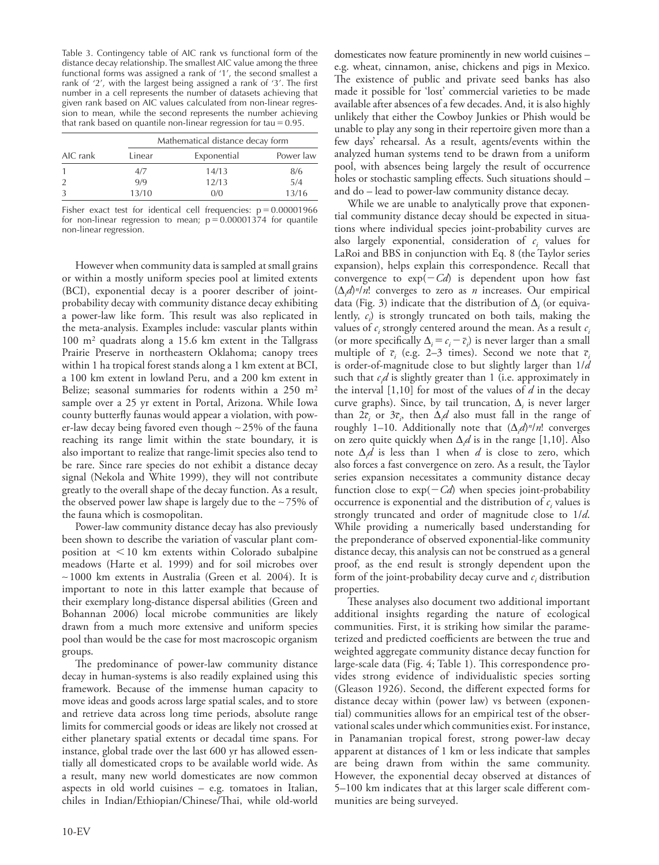Table 3. Contingency table of AIC rank vs functional form of the distance decay relationship. The smallest AIC value among the three functional forms was assigned a rank of '1', the second smallest a rank of '2', with the largest being assigned a rank of '3'. The first number in a cell represents the number of datasets achieving that given rank based on AIC values calculated from non-linear regression to mean, while the second represents the number achieving that rank based on quantile non-linear regression for tau =  $0.95$ .

|          |        | Mathematical distance decay form |           |
|----------|--------|----------------------------------|-----------|
| AIC rank | Linear | Exponential                      | Power law |
|          | 4/7    | 14/13                            | 8/6       |
|          | 9/9    | 12/13                            | 5/4       |
|          | 13/10  | 0/0                              | 13/16     |

Fisher exact test for identical cell frequencies:  $p=0.00001966$ for non-linear regression to mean;  $p=0.00001374$  for quantile non-linear regression.

However when community data is sampled at small grains or within a mostly uniform species pool at limited extents (BCI), exponential decay is a poorer describer of jointprobability decay with community distance decay exhibiting a power-law like form. This result was also replicated in the meta-analysis. Examples include: vascular plants within 100 m2 quadrats along a 15.6 km extent in the Tallgrass Prairie Preserve in northeastern Oklahoma; canopy trees within 1 ha tropical forest stands along a 1 km extent at BCI, a 100 km extent in lowland Peru, and a 200 km extent in Belize; seasonal summaries for rodents within a 250 m<sup>2</sup> sample over a 25 yr extent in Portal, Arizona. While Iowa county butterfly faunas would appear a violation, with power-law decay being favored even though  $\sim$  25% of the fauna reaching its range limit within the state boundary, it is also important to realize that range-limit species also tend to be rare. Since rare species do not exhibit a distance decay signal (Nekola and White 1999), they will not contribute greatly to the overall shape of the decay function. As a result, the observed power law shape is largely due to the  $\sim$  75% of the fauna which is cosmopolitan.

Power-law community distance decay has also previously been shown to describe the variation of vascular plant composition at  $\leq 10$  km extents within Colorado subalpine meadows (Harte et al. 1999) and for soil microbes over ~1000 km extents in Australia (Green et al*.* 2004). It is important to note in this latter example that because of their exemplary long-distance dispersal abilities (Green and Bohannan 2006) local microbe communities are likely drawn from a much more extensive and uniform species pool than would be the case for most macroscopic organism groups.

The predominance of power-law community distance decay in human-systems is also readily explained using this framework. Because of the immense human capacity to move ideas and goods across large spatial scales, and to store and retrieve data across long time periods, absolute range limits for commercial goods or ideas are likely not crossed at either planetary spatial extents or decadal time spans. For instance, global trade over the last 600 yr has allowed essentially all domesticated crops to be available world wide. As a result, many new world domesticates are now common aspects in old world cuisines – e.g. tomatoes in Italian, chiles in Indian/Ethiopian/Chinese/Thai, while old-world

domesticates now feature prominently in new world cuisines – e.g. wheat, cinnamon, anise, chickens and pigs in Mexico. The existence of public and private seed banks has also made it possible for 'lost' commercial varieties to be made available after absences of a few decades. And, it is also highly unlikely that either the Cowboy Junkies or Phish would be unable to play any song in their repertoire given more than a few days' rehearsal. As a result, agents/events within the analyzed human systems tend to be drawn from a uniform pool, with absences being largely the result of occurrence holes or stochastic sampling effects. Such situations should – and do – lead to power-law community distance decay.

While we are unable to analytically prove that exponential community distance decay should be expected in situations where individual species joint-probability curves are also largely exponential, consideration of  $c_i$  values for LaRoi and BBS in conjunction with Eq. 8 (the Taylor series expansion), helps explain this correspondence. Recall that convergence to  $exp(-Cd)$  is dependent upon how fast (Δ*i d*)*<sup>n</sup>*/*n*! converges to zero as *n* increases. Our empirical data (Fig. 3) indicate that the distribution of  $\Delta$ <sub>*i*</sub> (or equivalently, *ci* ) is strongly truncated on both tails, making the values of  $c_i$  strongly centered around the mean. As a result  $c_i$ (or more specifically  $\Delta_i = c_i - \overline{c}_i$ ) is never larger than a small multiple of  $\bar{c}_i$  (e.g. 2–3 times). Second we note that  $\bar{c}_i$ is order-of-magnitude close to but slightly larger than 1/*d* such that *ci d* is slightly greater than 1 (i.e. approximately in the interval [1,10] for most of the values of *d* in the decay curve graphs). Since, by tail truncation, Δ*<sup>i</sup>* is never larger than  $2\bar{c}_i$  or  $3\bar{c}_i$ , then  $\Delta_i d$  also must fall in the range of roughly 1–10. Additionally note that (Δ*<sup>i</sup> d*)*<sup>n</sup>*/*n*! converges on zero quite quickly when  $\Delta_i d$  is in the range [1,10]. Also note Δ*<sup>i</sup> d* is less than 1 when *d* is close to zero, which also forces a fast convergence on zero. As a result, the Taylor series expansion necessitates a community distance decay function close to  $exp(-Cd)$  when species joint-probability occurrence is exponential and the distribution of  $c<sub>i</sub>$  values is strongly truncated and order of magnitude close to 1/*d*. While providing a numerically based understanding for the preponderance of observed exponential-like community distance decay, this analysis can not be construed as a general proof, as the end result is strongly dependent upon the form of the joint-probability decay curve and  $c_i$  distribution properties.

These analyses also document two additional important additional insights regarding the nature of ecological communities. First, it is striking how similar the parameterized and predicted coefficients are between the true and weighted aggregate community distance decay function for large-scale data (Fig. 4; Table 1). This correspondence provides strong evidence of individualistic species sorting (Gleason 1926). Second, the different expected forms for distance decay within (power law) vs between (exponential) communities allows for an empirical test of the observational scales under which communities exist. For instance, in Panamanian tropical forest, strong power-law decay apparent at distances of 1 km or less indicate that samples are being drawn from within the same community. However, the exponential decay observed at distances of 5–100 km indicates that at this larger scale different communities are being surveyed.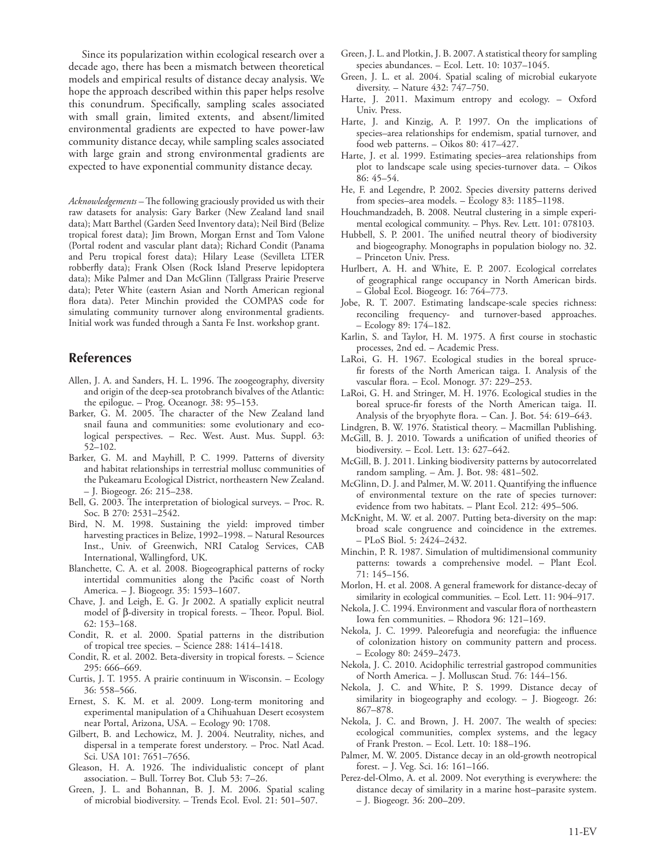Since its popularization within ecological research over a decade ago, there has been a mismatch between theoretical models and empirical results of distance decay analysis. We hope the approach described within this paper helps resolve this conundrum. Specifically, sampling scales associated with small grain, limited extents, and absent/limited environmental gradients are expected to have power-law community distance decay, while sampling scales associated with large grain and strong environmental gradients are expected to have exponential community distance decay.

*Acknowledgements –* The following graciously provided us with their raw datasets for analysis: Gary Barker (New Zealand land snail data); Matt Barthel (Garden Seed Inventory data); Neil Bird (Belize tropical forest data); Jim Brown, Morgan Ernst and Tom Valone (Portal rodent and vascular plant data); Richard Condit (Panama and Peru tropical forest data); Hilary Lease (Sevilleta LTER robberfly data); Frank Olsen (Rock Island Preserve lepidoptera data); Mike Palmer and Dan McGlinn (Tallgrass Prairie Preserve data); Peter White (eastern Asian and North American regional flora data). Peter Minchin provided the COMPAS code for simulating community turnover along environmental gradients. Initial work was funded through a Santa Fe Inst. workshop grant.

## **References**

- Allen, J. A. and Sanders, H. L. 1996. The zoogeography, diversity and origin of the deep-sea protobranch bivalves of the Atlantic: the epilogue. – Prog. Oceanogr. 38: 95–153.
- Barker, G. M. 2005. The character of the New Zealand land snail fauna and communities: some evolutionary and ecological perspectives. – Rec. West. Aust. Mus. Suppl. 63: 52–102.
- Barker, G. M. and Mayhill, P. C. 1999. Patterns of diversity and habitat relationships in terrestrial mollusc communities of the Pukeamaru Ecological District, northeastern New Zealand. – J. Biogeogr. 26: 215–238.
- Bell, G. 2003. The interpretation of biological surveys. Proc. R. Soc. B 270: 2531–2542.
- Bird, N. M. 1998. Sustaining the yield: improved timber harvesting practices in Belize, 1992–1998. – Natural Resources Inst., Univ. of Greenwich, NRI Catalog Services, CAB International, Wallingford, UK.
- Blanchette, C. A. et al. 2008. Biogeographical patterns of rocky intertidal communities along the Pacific coast of North America. – J. Biogeogr. 35: 1593–1607.
- Chave, J. and Leigh, E. G. Jr 2002. A spatially explicit neutral model of  $\beta$ -diversity in tropical forests. – Theor. Popul. Biol. 62: 153–168.
- Condit, R. et al. 2000. Spatial patterns in the distribution of tropical tree species. – Science 288: 1414–1418.
- Condit, R. et al. 2002. Beta-diversity in tropical forests. Science 295: 666–669.
- Curtis, J. T. 1955. A prairie continuum in Wisconsin. Ecology 36: 558–566.
- Ernest, S. K. M. et al. 2009. Long-term monitoring and experimental manipulation of a Chihuahuan Desert ecosystem near Portal, Arizona, USA. – Ecology 90: 1708.
- Gilbert, B. and Lechowicz, M. J. 2004. Neutrality, niches, and dispersal in a temperate forest understory. – Proc. Natl Acad. Sci. USA 101: 7651–7656.
- Gleason, H. A. 1926. The individualistic concept of plant association. – Bull. Torrey Bot. Club 53: 7–26.
- Green, J. L. and Bohannan, B. J. M. 2006. Spatial scaling of microbial biodiversity. – Trends Ecol. Evol. 21: 501–507.
- Green, J. L. and Plotkin, J. B. 2007. A statistical theory for sampling species abundances. – Ecol. Lett. 10: 1037–1045.
- Green, J. L. et al. 2004. Spatial scaling of microbial eukaryote diversity. – Nature 432: 747–750.
- Harte, J. 2011. Maximum entropy and ecology. Oxford Univ. Press.
- Harte, J. and Kinzig, A. P. 1997. On the implications of species–area relationships for endemism, spatial turnover, and food web patterns. – Oikos 80: 417–427.
- Harte, J. et al. 1999. Estimating species–area relationships from plot to landscape scale using species-turnover data. – Oikos 86: 45–54.
- He, F. and Legendre, P. 2002. Species diversity patterns derived from species–area models. – Ecology 83: 1185–1198.
- Houchmandzadeh, B. 2008. Neutral clustering in a simple experimental ecological community. – Phys. Rev. Lett. 101: 078103.
- Hubbell, S. P. 2001. The unified neutral theory of biodiversity and biogeography. Monographs in population biology no. 32. – Princeton Univ. Press.
- Hurlbert, A. H. and White, E. P. 2007. Ecological correlates of geographical range occupancy in North American birds. – Global Ecol. Biogeogr. 16: 764–773.
- Jobe, R. T. 2007. Estimating landscape-scale species richness: reconciling frequency- and turnover-based approaches. – Ecology 89: 174–182.
- Karlin, S. and Taylor, H. M. 1975. A first course in stochastic processes, 2nd ed. – Academic Press.
- LaRoi, G. H. 1967. Ecological studies in the boreal sprucefir forests of the North American taiga. I. Analysis of the vascular flora. – Ecol. Monogr. 37: 229–253.
- LaRoi, G. H. and Stringer, M. H. 1976. Ecological studies in the boreal spruce-fir forests of the North American taiga. II. Analysis of the bryophyte flora. – Can. J. Bot. 54: 619–643.
- Lindgren, B. W. 1976. Statistical theory. Macmillan Publishing.
- McGill, B. J. 2010. Towards a unification of unified theories of biodiversity. – Ecol. Lett. 13: 627–642.
- McGill, B. J. 2011. Linking biodiversity patterns by autocorrelated random sampling. – Am. J. Bot. 98: 481–502.
- McGlinn, D. J. and Palmer, M. W. 2011. Quantifying the influence of environmental texture on the rate of species turnover: evidence from two habitats. – Plant Ecol. 212: 495–506.
- McKnight, M. W. et al. 2007. Putting beta-diversity on the map: broad scale congruence and coincidence in the extremes. – PLoS Biol. 5: 2424–2432.
- Minchin, P. R. 1987. Simulation of multidimensional community patterns: towards a comprehensive model. – Plant Ecol. 71: 145–156.
- Morlon, H. et al. 2008. A general framework for distance-decay of similarity in ecological communities. – Ecol. Lett. 11: 904–917.
- Nekola, J. C. 1994. Environment and vascular flora of northeastern Iowa fen communities. – Rhodora 96: 121–169.
- Nekola, J. C. 1999. Paleorefugia and neorefugia: the influence of colonization history on community pattern and process. – Ecology 80: 2459–2473.
- Nekola, J. C. 2010. Acidophilic terrestrial gastropod communities of North America. – J. Molluscan Stud. 76: 144–156.
- Nekola, J. C. and White, P. S. 1999. Distance decay of similarity in biogeography and ecology. – J. Biogeogr. 26: 867–878.
- Nekola, J. C. and Brown, J. H. 2007. The wealth of species: ecological communities, complex systems, and the legacy of Frank Preston. – Ecol. Lett. 10: 188–196.
- Palmer, M. W. 2005. Distance decay in an old-growth neotropical forest. – J. Veg. Sci. 16: 161–166.
- Perez-del-Olmo, A. et al. 2009. Not everything is everywhere: the distance decay of similarity in a marine host–parasite system. – J. Biogeogr. 36: 200–209.